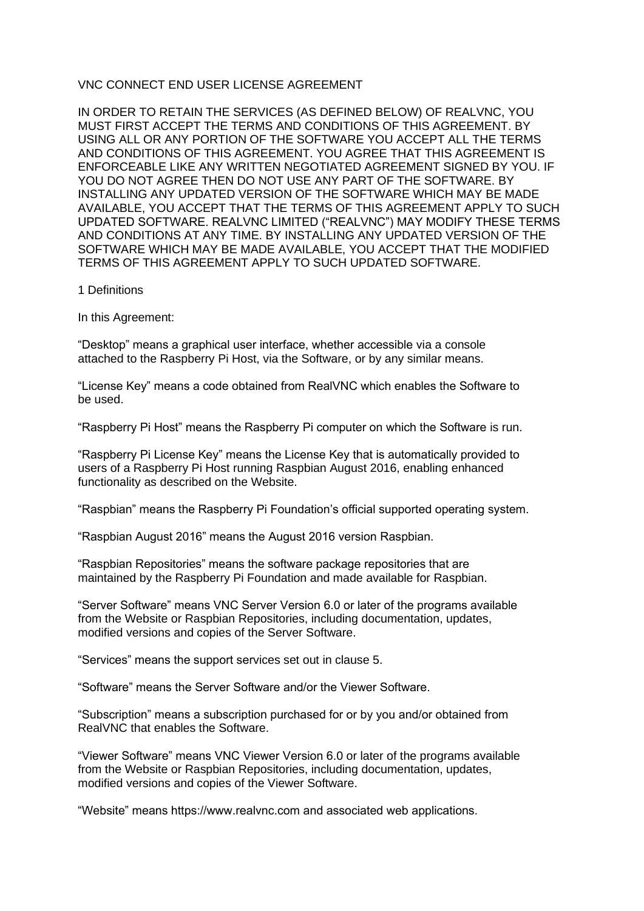# VNC CONNECT END USER LICENSE AGREEMENT

IN ORDER TO RETAIN THE SERVICES (AS DEFINED BELOW) OF REALVNC, YOU MUST FIRST ACCEPT THE TERMS AND CONDITIONS OF THIS AGREEMENT. BY USING ALL OR ANY PORTION OF THE SOFTWARE YOU ACCEPT ALL THE TERMS AND CONDITIONS OF THIS AGREEMENT. YOU AGREE THAT THIS AGREEMENT IS ENFORCEABLE LIKE ANY WRITTEN NEGOTIATED AGREEMENT SIGNED BY YOU. IF YOU DO NOT AGREE THEN DO NOT USE ANY PART OF THE SOFTWARE. BY INSTALLING ANY UPDATED VERSION OF THE SOFTWARE WHICH MAY BE MADE AVAILABLE, YOU ACCEPT THAT THE TERMS OF THIS AGREEMENT APPLY TO SUCH UPDATED SOFTWARE. REALVNC LIMITED ("REALVNC") MAY MODIFY THESE TERMS AND CONDITIONS AT ANY TIME. BY INSTALLING ANY UPDATED VERSION OF THE SOFTWARE WHICH MAY BE MADE AVAILABLE, YOU ACCEPT THAT THE MODIFIED TERMS OF THIS AGREEMENT APPLY TO SUCH UPDATED SOFTWARE.

1 Definitions

In this Agreement:

"Desktop" means a graphical user interface, whether accessible via a console attached to the Raspberry Pi Host, via the Software, or by any similar means.

"License Key" means a code obtained from RealVNC which enables the Software to be used.

"Raspberry Pi Host" means the Raspberry Pi computer on which the Software is run.

"Raspberry Pi License Key" means the License Key that is automatically provided to users of a Raspberry Pi Host running Raspbian August 2016, enabling enhanced functionality as described on the Website.

"Raspbian" means the Raspberry Pi Foundation's official supported operating system.

"Raspbian August 2016" means the August 2016 version Raspbian.

"Raspbian Repositories" means the software package repositories that are maintained by the Raspberry Pi Foundation and made available for Raspbian.

"Server Software" means VNC Server Version 6.0 or later of the programs available from the Website or Raspbian Repositories, including documentation, updates, modified versions and copies of the Server Software.

"Services" means the support services set out in clause 5.

"Software" means the Server Software and/or the Viewer Software.

"Subscription" means a subscription purchased for or by you and/or obtained from RealVNC that enables the Software.

"Viewer Software" means VNC Viewer Version 6.0 or later of the programs available from the Website or Raspbian Repositories, including documentation, updates, modified versions and copies of the Viewer Software.

"Website" means https://www.realvnc.com and associated web applications.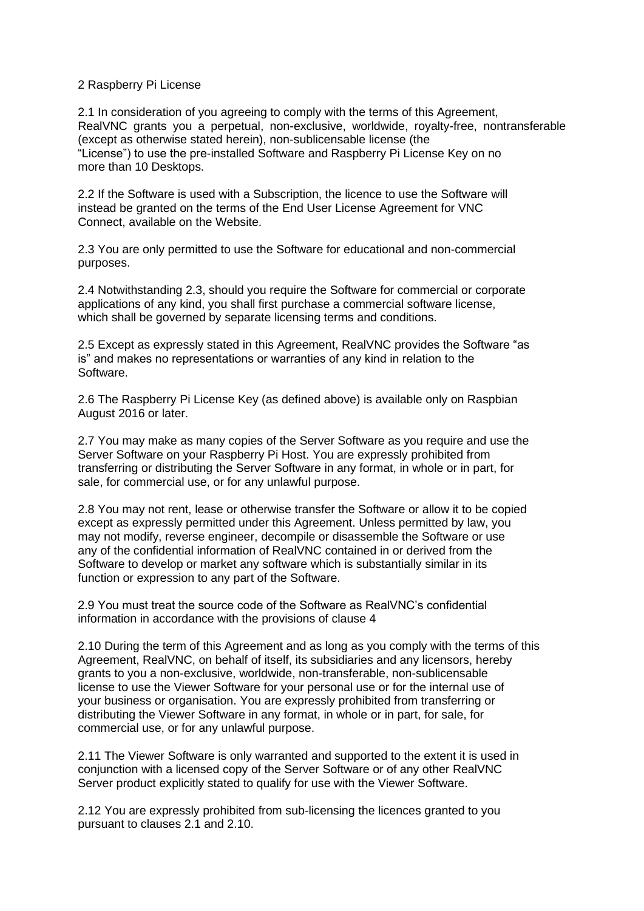# 2 Raspberry Pi License

2.1 In consideration of you agreeing to comply with the terms of this Agreement, RealVNC grants you a perpetual, non-exclusive, worldwide, royalty-free, nontransferable (except as otherwise stated herein), non-sublicensable license (the "License") to use the pre-installed Software and Raspberry Pi License Key on no more than 10 Desktops.

2.2 If the Software is used with a Subscription, the licence to use the Software will instead be granted on the terms of the End User License Agreement for VNC Connect, available on the Website.

2.3 You are only permitted to use the Software for educational and non-commercial purposes.

2.4 Notwithstanding 2.3, should you require the Software for commercial or corporate applications of any kind, you shall first purchase a commercial software license, which shall be governed by separate licensing terms and conditions.

2.5 Except as expressly stated in this Agreement, RealVNC provides the Software "as is" and makes no representations or warranties of any kind in relation to the Software.

2.6 The Raspberry Pi License Key (as defined above) is available only on Raspbian August 2016 or later.

2.7 You may make as many copies of the Server Software as you require and use the Server Software on your Raspberry Pi Host. You are expressly prohibited from transferring or distributing the Server Software in any format, in whole or in part, for sale, for commercial use, or for any unlawful purpose.

2.8 You may not rent, lease or otherwise transfer the Software or allow it to be copied except as expressly permitted under this Agreement. Unless permitted by law, you may not modify, reverse engineer, decompile or disassemble the Software or use any of the confidential information of RealVNC contained in or derived from the Software to develop or market any software which is substantially similar in its function or expression to any part of the Software.

2.9 You must treat the source code of the Software as RealVNC's confidential information in accordance with the provisions of clause 4

2.10 During the term of this Agreement and as long as you comply with the terms of this Agreement, RealVNC, on behalf of itself, its subsidiaries and any licensors, hereby grants to you a non-exclusive, worldwide, non-transferable, non-sublicensable license to use the Viewer Software for your personal use or for the internal use of your business or organisation. You are expressly prohibited from transferring or distributing the Viewer Software in any format, in whole or in part, for sale, for commercial use, or for any unlawful purpose.

2.11 The Viewer Software is only warranted and supported to the extent it is used in conjunction with a licensed copy of the Server Software or of any other RealVNC Server product explicitly stated to qualify for use with the Viewer Software.

2.12 You are expressly prohibited from sub-licensing the licences granted to you pursuant to clauses 2.1 and 2.10.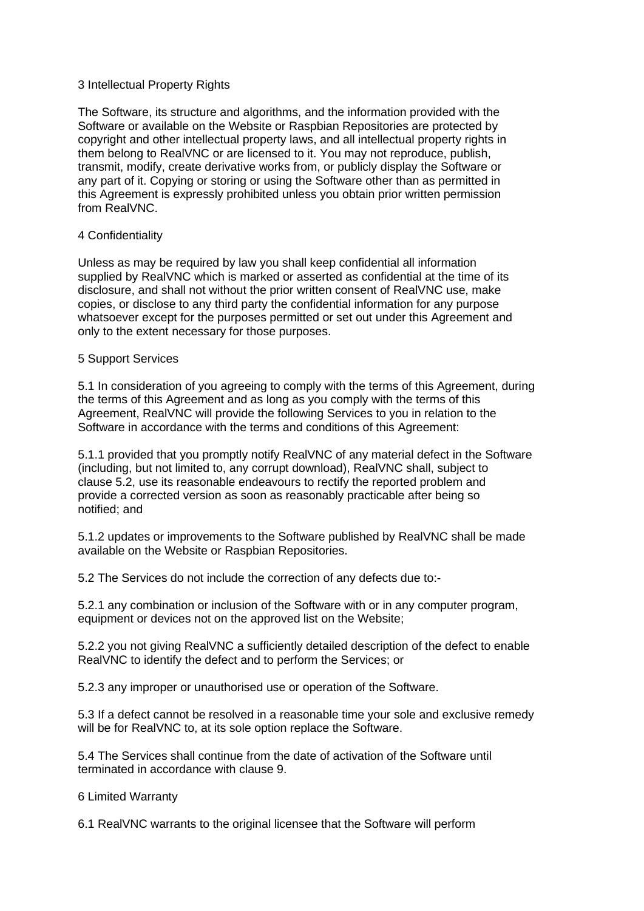### 3 Intellectual Property Rights

The Software, its structure and algorithms, and the information provided with the Software or available on the Website or Raspbian Repositories are protected by copyright and other intellectual property laws, and all intellectual property rights in them belong to RealVNC or are licensed to it. You may not reproduce, publish, transmit, modify, create derivative works from, or publicly display the Software or any part of it. Copying or storing or using the Software other than as permitted in this Agreement is expressly prohibited unless you obtain prior written permission from RealVNC.

# 4 Confidentiality

Unless as may be required by law you shall keep confidential all information supplied by RealVNC which is marked or asserted as confidential at the time of its disclosure, and shall not without the prior written consent of RealVNC use, make copies, or disclose to any third party the confidential information for any purpose whatsoever except for the purposes permitted or set out under this Agreement and only to the extent necessary for those purposes.

# 5 Support Services

5.1 In consideration of you agreeing to comply with the terms of this Agreement, during the terms of this Agreement and as long as you comply with the terms of this Agreement, RealVNC will provide the following Services to you in relation to the Software in accordance with the terms and conditions of this Agreement:

5.1.1 provided that you promptly notify RealVNC of any material defect in the Software (including, but not limited to, any corrupt download), RealVNC shall, subject to clause 5.2, use its reasonable endeavours to rectify the reported problem and provide a corrected version as soon as reasonably practicable after being so notified; and

5.1.2 updates or improvements to the Software published by RealVNC shall be made available on the Website or Raspbian Repositories.

5.2 The Services do not include the correction of any defects due to:-

5.2.1 any combination or inclusion of the Software with or in any computer program, equipment or devices not on the approved list on the Website;

5.2.2 you not giving RealVNC a sufficiently detailed description of the defect to enable RealVNC to identify the defect and to perform the Services; or

5.2.3 any improper or unauthorised use or operation of the Software.

5.3 If a defect cannot be resolved in a reasonable time your sole and exclusive remedy will be for RealVNC to, at its sole option replace the Software.

5.4 The Services shall continue from the date of activation of the Software until terminated in accordance with clause 9.

6 Limited Warranty

6.1 RealVNC warrants to the original licensee that the Software will perform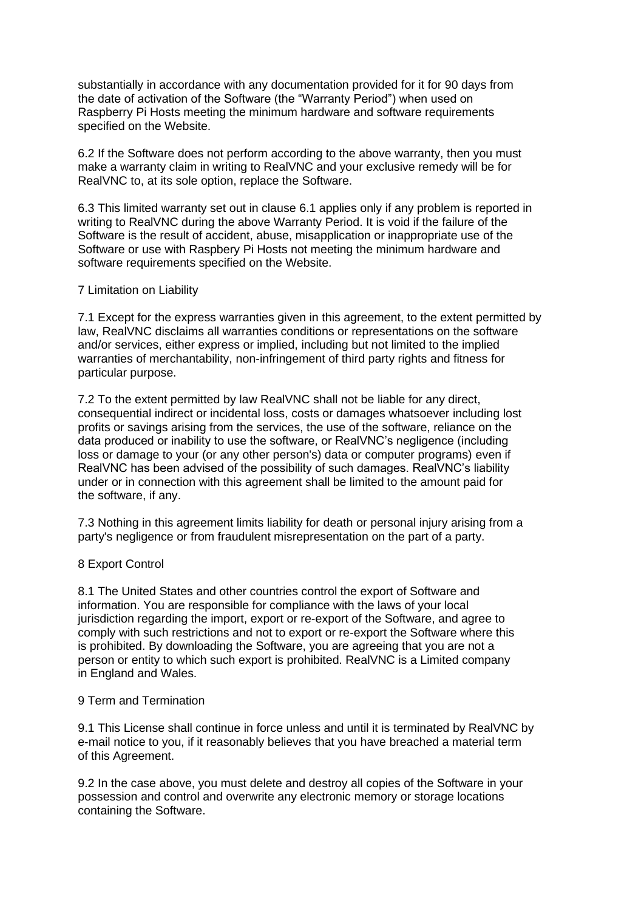substantially in accordance with any documentation provided for it for 90 days from the date of activation of the Software (the "Warranty Period") when used on Raspberry Pi Hosts meeting the minimum hardware and software requirements specified on the Website.

6.2 If the Software does not perform according to the above warranty, then you must make a warranty claim in writing to RealVNC and your exclusive remedy will be for RealVNC to, at its sole option, replace the Software.

6.3 This limited warranty set out in clause 6.1 applies only if any problem is reported in writing to RealVNC during the above Warranty Period. It is void if the failure of the Software is the result of accident, abuse, misapplication or inappropriate use of the Software or use with Raspbery Pi Hosts not meeting the minimum hardware and software requirements specified on the Website.

# 7 Limitation on Liability

7.1 Except for the express warranties given in this agreement, to the extent permitted by law, RealVNC disclaims all warranties conditions or representations on the software and/or services, either express or implied, including but not limited to the implied warranties of merchantability, non-infringement of third party rights and fitness for particular purpose.

7.2 To the extent permitted by law RealVNC shall not be liable for any direct, consequential indirect or incidental loss, costs or damages whatsoever including lost profits or savings arising from the services, the use of the software, reliance on the data produced or inability to use the software, or RealVNC's negligence (including loss or damage to your (or any other person's) data or computer programs) even if RealVNC has been advised of the possibility of such damages. RealVNC's liability under or in connection with this agreement shall be limited to the amount paid for the software, if any.

7.3 Nothing in this agreement limits liability for death or personal injury arising from a party's negligence or from fraudulent misrepresentation on the part of a party.

# 8 Export Control

8.1 The United States and other countries control the export of Software and information. You are responsible for compliance with the laws of your local jurisdiction regarding the import, export or re-export of the Software, and agree to comply with such restrictions and not to export or re-export the Software where this is prohibited. By downloading the Software, you are agreeing that you are not a person or entity to which such export is prohibited. RealVNC is a Limited company in England and Wales.

#### 9 Term and Termination

9.1 This License shall continue in force unless and until it is terminated by RealVNC by e-mail notice to you, if it reasonably believes that you have breached a material term of this Agreement.

9.2 In the case above, you must delete and destroy all copies of the Software in your possession and control and overwrite any electronic memory or storage locations containing the Software.